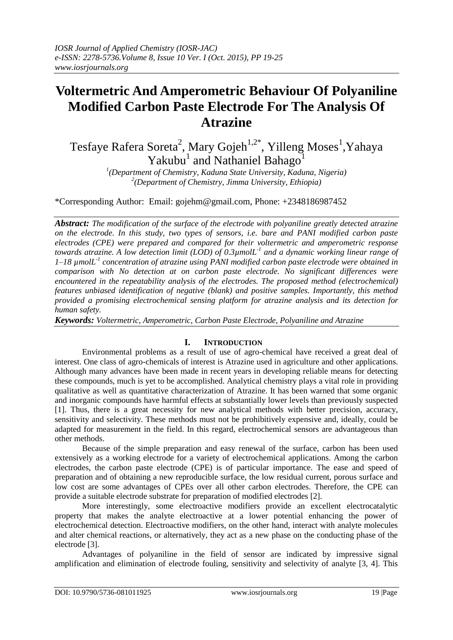# **Voltermetric And Amperometric Behaviour Of Polyaniline Modified Carbon Paste Electrode For The Analysis Of Atrazine**

Tesfaye Rafera Soreta<sup>2</sup>, Mary Gojeh<sup>1,2\*</sup>, Yilleng Moses<sup>1</sup>,Yahaya Yakubu<sup>1</sup> and Nathaniel Bahago<sup>1</sup>

*1 (Department of Chemistry, Kaduna State University, Kaduna, Nigeria) 2 (Department of Chemistry, Jimma University, Ethiopia)*

\*Corresponding Author: Email: gojehm@gmail.com, Phone: +2348186987452

*Abstract: The modification of the surface of the electrode with polyaniline greatly detected atrazine on the electrode. In this study, two types of sensors, i.e. bare and PANI modified carbon paste electrodes (CPE) were prepared and compared for their voltermetric and amperometric response towards atrazine. A low detection limit (LOD) of 0.3µmolL-1 and a dynamic working linear range of 1–18 µmolL-1 concentration of atrazine using PANI modified carbon paste electrode were obtained in comparison with No detection at on carbon paste electrode. No significant differences were encountered in the repeatability analysis of the electrodes. The proposed method (electrochemical) features unbiased identification of negative (blank) and positive samples. Importantly, this method provided a promising electrochemical sensing platform for atrazine analysis and its detection for human safety.*

*Keywords: Voltermetric, Amperometric, Carbon Paste Electrode, Polyaniline and Atrazine*

## **I. INTRODUCTION**

Environmental problems as a result of use of agro-chemical have received a great deal of interest. One class of agro-chemicals of interest is Atrazine used in agriculture and other applications. Although many advances have been made in recent years in developing reliable means for detecting these compounds, much is yet to be accomplished. Analytical chemistry plays a vital role in providing qualitative as well as quantitative characterization of Atrazine. It has been warned that some organic and inorganic compounds have harmful effects at substantially lower levels than previously suspected [1]. Thus, there is a great necessity for new analytical methods with better precision, accuracy, sensitivity and selectivity. These methods must not be prohibitively expensive and, ideally, could be adapted for measurement in the field. In this regard, electrochemical sensors are advantageous than other methods.

Because of the simple preparation and easy renewal of the surface, carbon has been used extensively as a working electrode for a variety of electrochemical applications. Among the carbon electrodes, the carbon paste electrode (CPE) is of particular importance. The ease and speed of preparation and of obtaining a new reproducible surface, the low residual current, porous surface and low cost are some advantages of CPEs over all other carbon electrodes. Therefore, the CPE can provide a suitable electrode substrate for preparation of modified electrodes [2].

More interestingly, some electroactive modifiers provide an excellent electrocatalytic property that makes the analyte electroactive at a lower potential enhancing the power of electrochemical detection. Electroactive modifiers, on the other hand, interact with analyte molecules and alter chemical reactions, or alternatively, they act as a new phase on the conducting phase of the electrode [3].

Advantages of polyaniline in the field of sensor are indicated by impressive signal amplification and elimination of electrode fouling, sensitivity and selectivity of analyte [3, 4]. This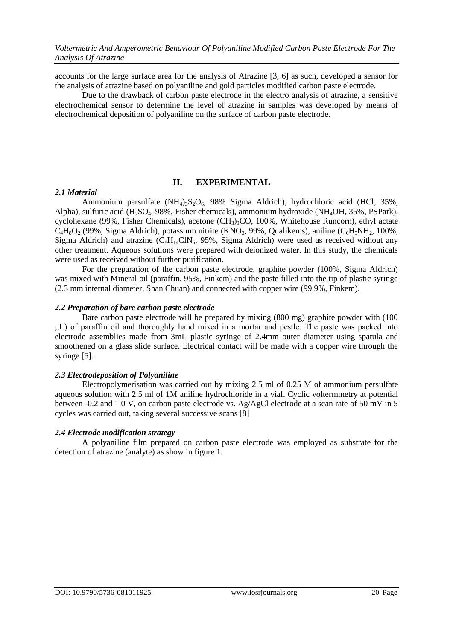accounts for the large surface area for the analysis of Atrazine [3, 6] as such, developed a sensor for the analysis of atrazine based on polyaniline and gold particles modified carbon paste electrode.

Due to the drawback of carbon paste electrode in the electro analysis of atrazine, a sensitive electrochemical sensor to determine the level of atrazine in samples was developed by means of electrochemical deposition of polyaniline on the surface of carbon paste electrode.

## **II. EXPERIMENTAL**

## *2.1 Material*

Ammonium persulfate  $(NH_4)_{3}S_2O_6$ , 98% Sigma Aldrich), hydrochloric acid (HCl, 35%, Alpha), sulfuric acid (H<sub>2</sub>SO<sub>4</sub>, 98%, Fisher chemicals), ammonium hydroxide (NH<sub>4</sub>OH, 35%, PSPark), cyclohexane (99%, Fisher Chemicals), acetone (CH<sub>3</sub>)<sub>3</sub>CO, 100%, Whitehouse Runcorn), ethyl actate  $C_4H_8O_2$  (99%, Sigma Aldrich), potassium nitrite (KNO<sub>3</sub>, 99%, Qualikems), aniline (C<sub>6</sub>H<sub>5</sub>NH<sub>2</sub>, 100%, Sigma Aldrich) and atrazine  $(C_8H_{14}CIN_5, 95\%,$  Sigma Aldrich) were used as received without any other treatment. Aqueous solutions were prepared with deionized water. In this study, the chemicals were used as received without further purification.

For the preparation of the carbon paste electrode, graphite powder (100%, Sigma Aldrich) was mixed with Mineral oil (paraffin, 95%, Finkem) and the paste filled into the tip of plastic syringe (2.3 mm internal diameter, Shan Chuan) and connected with copper wire (99.9%, Finkem).

## *2.2 Preparation of bare carbon paste electrode*

Bare carbon paste electrode will be prepared by mixing (800 mg) graphite powder with (100 μL) of paraffin oil and thoroughly hand mixed in a mortar and pestle. The paste was packed into electrode assemblies made from 3mL plastic syringe of 2.4mm outer diameter using spatula and smoothened on a glass slide surface. Electrical contact will be made with a copper wire through the syringe [5].

## *2.3 Electrodeposition of Polyaniline*

Electropolymerisation was carried out by mixing 2.5 ml of 0.25 M of ammonium persulfate aqueous solution with 2.5 ml of 1M aniline hydrochloride in a vial. Cyclic voltermmetry at potential between -0.2 and 1.0 V, on carbon paste electrode vs. Ag/AgCl electrode at a scan rate of 50 mV in 5 cycles was carried out, taking several successive scans [8]

## *2.4 Electrode modification strategy*

A polyaniline film prepared on carbon paste electrode was employed as substrate for the detection of atrazine (analyte) as show in figure 1.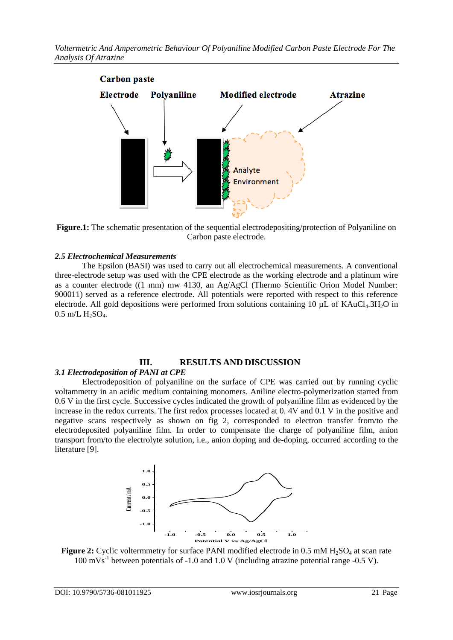

**Figure.1:** The schematic presentation of the sequential electrodepositing/protection of Polyaniline on Carbon paste electrode.

## *2.5 Electrochemical Measurements*

The Epsilon (BASI) was used to carry out all electrochemical measurements. A conventional three-electrode setup was used with the CPE electrode as the working electrode and a platinum wire as a counter electrode ((1 mm) mw 4130, an Ag/AgCl (Thermo Scientific Orion Model Number: 900011) served as a reference electrode. All potentials were reported with respect to this reference electrode. All gold depositions were performed from solutions containing 10  $\mu$ L of KAuCl<sub>4</sub>.3H<sub>2</sub>O in  $0.5$  m/L  $H_2SO_4$ .

## **III. RESULTS AND DISCUSSION**

## *3.1 Electrodeposition of PANI at CPE*

Electrodeposition of polyaniline on the surface of CPE was carried out by running cyclic voltammetry in an acidic medium containing monomers. Aniline electro-polymerization started from 0.6 V in the first cycle. Successive cycles indicated the growth of polyaniline film as evidenced by the increase in the redox currents. The first redox processes located at 0. 4V and 0.1 V in the positive and negative scans respectively as shown on fig 2, corresponded to electron transfer from/to the electrodeposited polyaniline film. In order to compensate the charge of polyaniline film, anion transport from/to the electrolyte solution, i.e., anion doping and de-doping, occurred according to the literature [9].



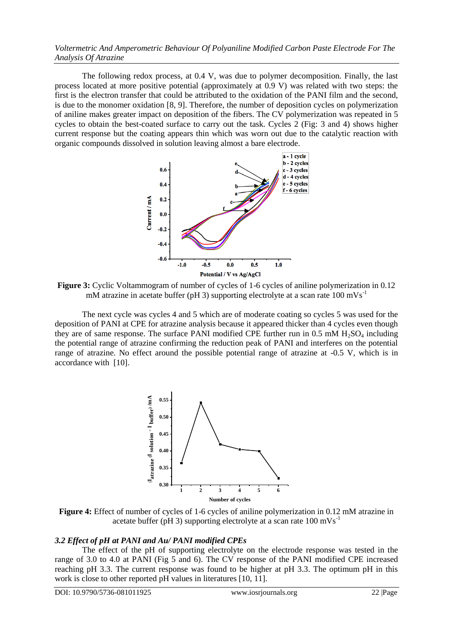*Voltermetric And Amperometric Behaviour Of Polyaniline Modified Carbon Paste Electrode For The Analysis Of Atrazine*

The following redox process, at 0.4 V, was due to polymer decomposition. Finally, the last process located at more positive potential (approximately at 0.9 V) was related with two steps: the first is the electron transfer that could be attributed to the oxidation of the PANI film and the second, is due to the monomer oxidation [8, 9]. Therefore, the number of deposition cycles on polymerization of aniline makes greater impact on deposition of the fibers. The CV polymerization was repeated in 5 cycles to obtain the best-coated surface to carry out the task. Cycles 2 (Fig: 3 and 4) shows higher current response but the coating appears thin which was worn out due to the catalytic reaction with organic compounds dissolved in solution leaving almost a bare electrode.



**Figure 3:** Cyclic Voltammogram of number of cycles of 1-6 cycles of aniline polymerization in 0.12 mM atrazine in acetate buffer (pH 3) supporting electrolyte at a scan rate  $100 \text{ mVs}^{-1}$ 

The next cycle was cycles 4 and 5 which are of moderate coating so cycles 5 was used for the deposition of PANI at CPE for atrazine analysis because it appeared thicker than 4 cycles even though they are of same response. The surface PANI modified CPE further run in  $0.5 \text{ mM } H_2\text{SO}_4$  including the potential range of atrazine confirming the reduction peak of PANI and interferes on the potential range of atrazine. No effect around the possible potential range of atrazine at -0.5 V, which is in accordance with [10].



**Figure 4:** Effect of number of cycles of 1-6 cycles of aniline polymerization in 0.12 mM atrazine in acetate buffer (pH 3) supporting electrolyte at a scan rate 100 mVs-1

## *3.2 Effect of pH at PANI and Au/ PANI modified CPEs*

The effect of the pH of supporting electrolyte on the electrode response was tested in the range of 3.0 to 4.0 at PANI (Fig 5 and 6). The CV response of the PANI modified CPE increased reaching pH 3.3. The current response was found to be higher at pH 3.3. The optimum pH in this work is close to other reported pH values in literatures [10, 11].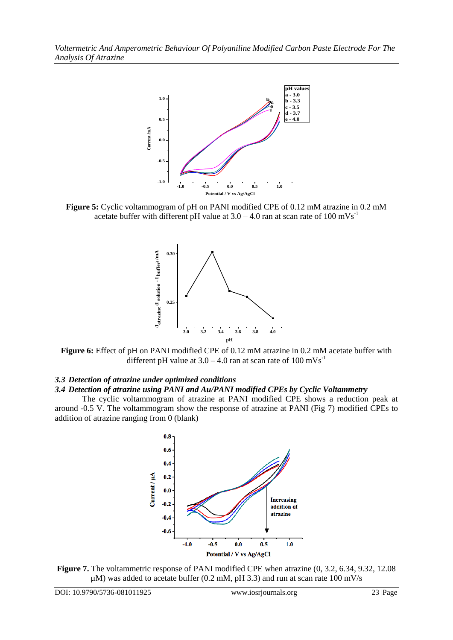

**Figure 5:** Cyclic voltammogram of pH on PANI modified CPE of 0.12 mM atrazine in 0.2 mM acetate buffer with different pH value at  $3.0 - 4.0$  ran at scan rate of  $100 \text{ mVs}^{-1}$ 



**Figure 6:** Effect of pH on PANI modified CPE of 0.12 mM atrazine in 0.2 mM acetate buffer with different pH value at  $3.0 - 4.0$  ran at scan rate of  $100 \text{ mVs}^{-1}$ 

## *3.3 Detection of atrazine under optimized conditions*

#### *3.4 Detection of atrazine using PANI and Au/PANI modified CPEs by Cyclic Voltammetry*

The cyclic voltammogram of atrazine at PANI modified CPE shows a reduction peak at around -0.5 V. The voltammogram show the response of atrazine at PANI (Fig 7) modified CPEs to addition of atrazine ranging from 0 (blank)



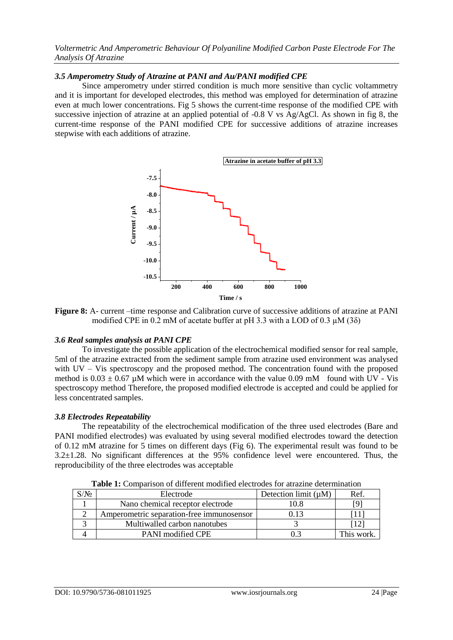*Voltermetric And Amperometric Behaviour Of Polyaniline Modified Carbon Paste Electrode For The Analysis Of Atrazine*

## *3.5 Amperometry Study of Atrazine at PANI and Au/PANI modified CPE*

Since amperometry under stirred condition is much more sensitive than cyclic voltammetry and it is important for developed electrodes, this method was employed for determination of atrazine even at much lower concentrations. Fig 5 shows the current-time response of the modified CPE with successive injection of atrazine at an applied potential of -0.8 V vs Ag/AgCl. As shown in fig 8, the current-time response of the PANI modified CPE for successive additions of atrazine increases stepwise with each additions of atrazine.



**Figure 8:** A- current –time response and Calibration curve of successive additions of atrazine at PANI modified CPE in 0.2 mM of acetate buffer at pH 3.3 with a LOD of 0.3  $\mu$ M (3 $\delta$ )

## *3.6 Real samples analysis at PANI CPE*

To investigate the possible application of the electrochemical modified sensor for real sample, 5ml of the atrazine extracted from the sediment sample from atrazine used environment was analysed with UV – Vis spectroscopy and the proposed method. The concentration found with the proposed method is  $0.03 \pm 0.67$  µM which were in accordance with the value 0.09 mM found with UV - Vis spectroscopy method Therefore, the proposed modified electrode is accepted and could be applied for less concentrated samples.

## *3.8 Electrodes Repeatability*

The repeatability of the electrochemical modification of the three used electrodes (Bare and PANI modified electrodes) was evaluated by using several modified electrodes toward the detection of 0.12 mM atrazine for 5 times on different days (Fig 6). The experimental result was found to be 3.2±1.28. No significant differences at the 95% confidence level were encountered. Thus, the reproducibility of the three electrodes was acceptable

| $\sqrt{N}$ | Electrode                                 | Detection limit $(\mu M)$ | Ref.       |
|------------|-------------------------------------------|---------------------------|------------|
|            | Nano chemical receptor electrode          | 0.8                       |            |
|            | Amperometric separation-free immunosensor | ) 13                      |            |
|            | Multiwalled carbon nanotubes              |                           |            |
|            | <b>PANI</b> modified CPE                  |                           | This work. |

**Table 1:** Comparison of different modified electrodes for atrazine determination